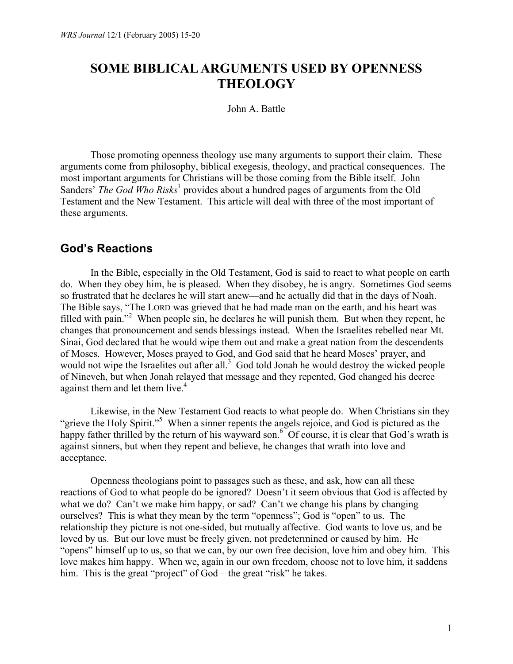# **SOME BIBLICAL ARGUMENTS USED BY OPENNESS THEOLOGY**

John A. Battle

 Those promoting openness theology use many arguments to support their claim. These arguments come from philosophy, biblical exegesis, theology, and practical consequences. The most important arguments for Christians will be those coming from the Bible itself. John Sanders<sup>3</sup> The God Who Risks<sup>1</sup> provides about a hundred pages of arguments from the Old Testament and the New Testament. This article will deal with three of the most important of these arguments.

#### **God's Reactions**

 In the Bible, especially in the Old Testament, God is said to react to what people on earth do. When they obey him, he is pleased. When they disobey, he is angry. Sometimes God seems so frustrated that he declares he will start anew—and he actually did that in the days of Noah. The Bible says, "The LORD was grieved that he had made man on the earth, and his heart was filled with pain."<sup>2</sup> When people sin, he declares he will punish them. But when they repent, he changes that pronouncement and sends blessings instead. When the Israelites rebelled near Mt. Sinai, God declared that he would wipe them out and make a great nation from the descendents of Moses. However, Moses prayed to God, and God said that he heard Moses' prayer, and would not wipe the Israelites out after all. $3$  God told Jonah he would destroy the wicked people of Nineveh, but when Jonah relayed that message and they repented, God changed his decree against them and let them live.<sup>4</sup>

 Likewise, in the New Testament God reacts to what people do. When Christians sin they "grieve the Holy Spirit."<sup>5</sup> When a sinner repents the angels rejoice, and God is pictured as the happy father thrilled by the return of his wayward son.<sup>6</sup> Of course, it is clear that God's wrath is against sinners, but when they repent and believe, he changes that wrath into love and acceptance.

 Openness theologians point to passages such as these, and ask, how can all these reactions of God to what people do be ignored? Doesn't it seem obvious that God is affected by what we do? Can't we make him happy, or sad? Can't we change his plans by changing ourselves? This is what they mean by the term "openness"; God is "open" to us. The relationship they picture is not one-sided, but mutually affective. God wants to love us, and be loved by us. But our love must be freely given, not predetermined or caused by him. He "opens" himself up to us, so that we can, by our own free decision, love him and obey him. This love makes him happy. When we, again in our own freedom, choose not to love him, it saddens him. This is the great "project" of God—the great "risk" he takes.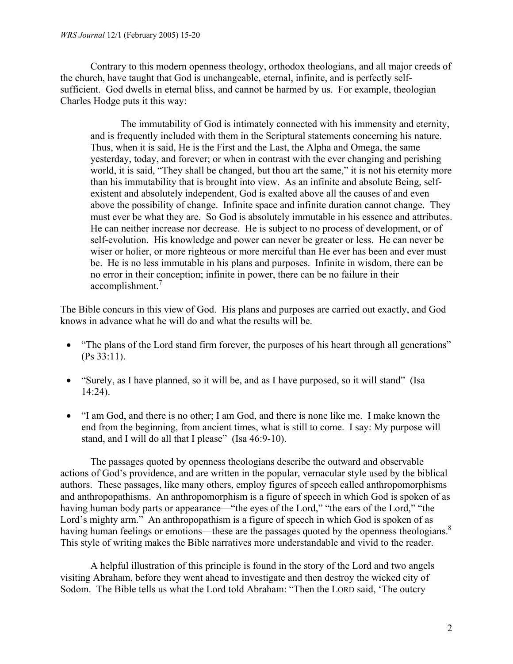Contrary to this modern openness theology, orthodox theologians, and all major creeds of the church, have taught that God is unchangeable, eternal, infinite, and is perfectly selfsufficient. God dwells in eternal bliss, and cannot be harmed by us. For example, theologian Charles Hodge puts it this way:

 The immutability of God is intimately connected with his immensity and eternity, and is frequently included with them in the Scriptural statements concerning his nature. Thus, when it is said, He is the First and the Last, the Alpha and Omega, the same yesterday, today, and forever; or when in contrast with the ever changing and perishing world, it is said, "They shall be changed, but thou art the same," it is not his eternity more than his immutability that is brought into view. As an infinite and absolute Being, selfexistent and absolutely independent, God is exalted above all the causes of and even above the possibility of change. Infinite space and infinite duration cannot change. They must ever be what they are. So God is absolutely immutable in his essence and attributes. He can neither increase nor decrease. He is subject to no process of development, or of self-evolution. His knowledge and power can never be greater or less. He can never be wiser or holier, or more righteous or more merciful than He ever has been and ever must be. He is no less immutable in his plans and purposes. Infinite in wisdom, there can be no error in their conception; infinite in power, there can be no failure in their accomplishment.<sup>7</sup>

The Bible concurs in this view of God. His plans and purposes are carried out exactly, and God knows in advance what he will do and what the results will be.

- "The plans of the Lord stand firm forever, the purposes of his heart through all generations" (Ps 33:11).
- "Surely, as I have planned, so it will be, and as I have purposed, so it will stand" (Isa 14:24).
- "I am God, and there is no other; I am God, and there is none like me. I make known the end from the beginning, from ancient times, what is still to come. I say: My purpose will stand, and I will do all that I please" (Isa 46:9-10).

 The passages quoted by openness theologians describe the outward and observable actions of God's providence, and are written in the popular, vernacular style used by the biblical authors. These passages, like many others, employ figures of speech called anthropomorphisms and anthropopathisms. An anthropomorphism is a figure of speech in which God is spoken of as having human body parts or appearance—"the eyes of the Lord," "the ears of the Lord," "the Lord's mighty arm." An anthropopathism is a figure of speech in which God is spoken of as having human feelings or emotions—these are the passages quoted by the openness theologians.<sup>8</sup> This style of writing makes the Bible narratives more understandable and vivid to the reader.

 A helpful illustration of this principle is found in the story of the Lord and two angels visiting Abraham, before they went ahead to investigate and then destroy the wicked city of Sodom. The Bible tells us what the Lord told Abraham: "Then the LORD said, 'The outcry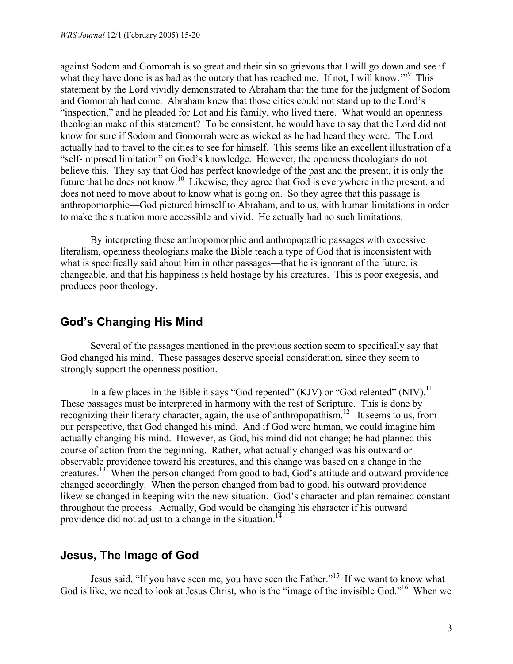against Sodom and Gomorrah is so great and their sin so grievous that I will go down and see if what they have done is as bad as the outcry that has reached me. If not, I will know."<sup>9</sup> This statement by the Lord vividly demonstrated to Abraham that the time for the judgment of Sodom and Gomorrah had come. Abraham knew that those cities could not stand up to the Lord's "inspection," and he pleaded for Lot and his family, who lived there. What would an openness theologian make of this statement? To be consistent, he would have to say that the Lord did not know for sure if Sodom and Gomorrah were as wicked as he had heard they were. The Lord actually had to travel to the cities to see for himself. This seems like an excellent illustration of a "self-imposed limitation" on God's knowledge. However, the openness theologians do not believe this. They say that God has perfect knowledge of the past and the present, it is only the future that he does not know.10 Likewise, they agree that God is everywhere in the present, and does not need to move about to know what is going on. So they agree that this passage is anthropomorphic—God pictured himself to Abraham, and to us, with human limitations in order to make the situation more accessible and vivid. He actually had no such limitations.

 By interpreting these anthropomorphic and anthropopathic passages with excessive literalism, openness theologians make the Bible teach a type of God that is inconsistent with what is specifically said about him in other passages—that he is ignorant of the future, is changeable, and that his happiness is held hostage by his creatures. This is poor exegesis, and produces poor theology.

## **God's Changing His Mind**

 Several of the passages mentioned in the previous section seem to specifically say that God changed his mind. These passages deserve special consideration, since they seem to strongly support the openness position.

In a few places in the Bible it says "God repented" (KJV) or "God relented" (NIV).<sup>11</sup> These passages must be interpreted in harmony with the rest of Scripture. This is done by recognizing their literary character, again, the use of anthropopathism.<sup>12</sup> It seems to us, from our perspective, that God changed his mind. And if God were human, we could imagine him actually changing his mind. However, as God, his mind did not change; he had planned this course of action from the beginning. Rather, what actually changed was his outward or observable providence toward his creatures, and this change was based on a change in the creatures.<sup>13</sup> When the person changed from good to bad, God's attitude and outward providence changed accordingly. When the person changed from bad to good, his outward providence likewise changed in keeping with the new situation. God's character and plan remained constant throughout the process. Actually, God would be changing his character if his outward providence did not adjust to a change in the situation.<sup>14</sup>

## **Jesus, The Image of God**

 Jesus said, "If you have seen me, you have seen the Father."15 If we want to know what God is like, we need to look at Jesus Christ, who is the "image of the invisible God."<sup>16</sup> When we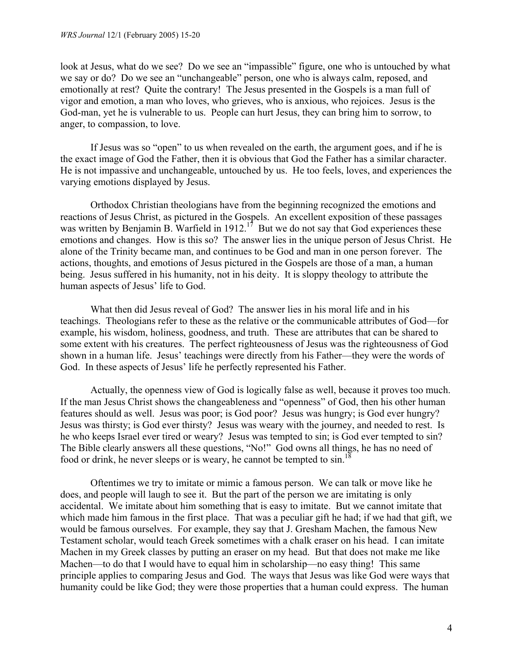look at Jesus, what do we see? Do we see an "impassible" figure, one who is untouched by what we say or do? Do we see an "unchangeable" person, one who is always calm, reposed, and emotionally at rest? Quite the contrary! The Jesus presented in the Gospels is a man full of vigor and emotion, a man who loves, who grieves, who is anxious, who rejoices. Jesus is the God-man, yet he is vulnerable to us. People can hurt Jesus, they can bring him to sorrow, to anger, to compassion, to love.

 If Jesus was so "open" to us when revealed on the earth, the argument goes, and if he is the exact image of God the Father, then it is obvious that God the Father has a similar character. He is not impassive and unchangeable, untouched by us. He too feels, loves, and experiences the varying emotions displayed by Jesus.

 Orthodox Christian theologians have from the beginning recognized the emotions and reactions of Jesus Christ, as pictured in the Gospels. An excellent exposition of these passages was written by Benjamin B. Warfield in 1912.<sup>17</sup> But we do not say that God experiences these emotions and changes. How is this so? The answer lies in the unique person of Jesus Christ. He alone of the Trinity became man, and continues to be God and man in one person forever. The actions, thoughts, and emotions of Jesus pictured in the Gospels are those of a man, a human being. Jesus suffered in his humanity, not in his deity. It is sloppy theology to attribute the human aspects of Jesus' life to God.

 What then did Jesus reveal of God? The answer lies in his moral life and in his teachings. Theologians refer to these as the relative or the communicable attributes of God—for example, his wisdom, holiness, goodness, and truth. These are attributes that can be shared to some extent with his creatures. The perfect righteousness of Jesus was the righteousness of God shown in a human life. Jesus' teachings were directly from his Father—they were the words of God. In these aspects of Jesus' life he perfectly represented his Father.

 Actually, the openness view of God is logically false as well, because it proves too much. If the man Jesus Christ shows the changeableness and "openness" of God, then his other human features should as well. Jesus was poor; is God poor? Jesus was hungry; is God ever hungry? Jesus was thirsty; is God ever thirsty? Jesus was weary with the journey, and needed to rest. Is he who keeps Israel ever tired or weary? Jesus was tempted to sin; is God ever tempted to sin? The Bible clearly answers all these questions, "No!" God owns all things, he has no need of food or drink, he never sleeps or is weary, he cannot be tempted to  $\sin$ <sup>18</sup>

 Oftentimes we try to imitate or mimic a famous person. We can talk or move like he does, and people will laugh to see it. But the part of the person we are imitating is only accidental. We imitate about him something that is easy to imitate. But we cannot imitate that which made him famous in the first place. That was a peculiar gift he had; if we had that gift, we would be famous ourselves. For example, they say that J. Gresham Machen, the famous New Testament scholar, would teach Greek sometimes with a chalk eraser on his head. I can imitate Machen in my Greek classes by putting an eraser on my head. But that does not make me like Machen—to do that I would have to equal him in scholarship—no easy thing! This same principle applies to comparing Jesus and God. The ways that Jesus was like God were ways that humanity could be like God; they were those properties that a human could express. The human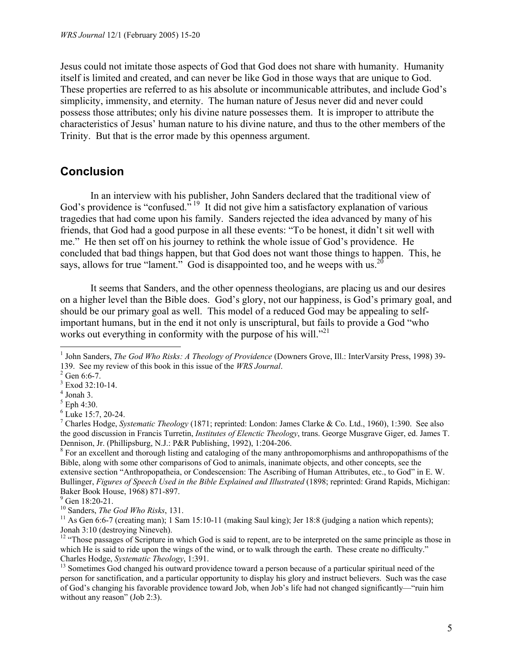Jesus could not imitate those aspects of God that God does not share with humanity. Humanity itself is limited and created, and can never be like God in those ways that are unique to God. These properties are referred to as his absolute or incommunicable attributes, and include God's simplicity, immensity, and eternity. The human nature of Jesus never did and never could possess those attributes; only his divine nature possesses them. It is improper to attribute the characteristics of Jesus' human nature to his divine nature, and thus to the other members of the Trinity. But that is the error made by this openness argument.

#### **Conclusion**

 In an interview with his publisher, John Sanders declared that the traditional view of God's providence is "confused." <sup>19</sup> It did not give him a satisfactory explanation of various tragedies that had come upon his family. Sanders rejected the idea advanced by many of his friends, that God had a good purpose in all these events: "To be honest, it didn't sit well with me." He then set off on his journey to rethink the whole issue of God's providence. He concluded that bad things happen, but that God does not want those things to happen. This, he says, allows for true "lament." God is disappointed too, and he weeps with us.<sup>20</sup>

 It seems that Sanders, and the other openness theologians, are placing us and our desires on a higher level than the Bible does. God's glory, not our happiness, is God's primary goal, and should be our primary goal as well. This model of a reduced God may be appealing to selfimportant humans, but in the end it not only is unscriptural, but fails to provide a God "who works out everything in conformity with the purpose of his will."<sup>21</sup>

 $\overline{a}$ 

<sup>8</sup> For an excellent and thorough listing and cataloging of the many anthropomorphisms and anthropopathisms of the Bible, along with some other comparisons of God to animals, inanimate objects, and other concepts, see the extensive section "Anthropopatheia, or Condescension: The Ascribing of Human Attributes, etc., to God" in E. W. Bullinger, *Figures of Speech Used in the Bible Explained and Illustrated* (1898; reprinted: Grand Rapids, Michigan: Baker Book House, 1968) 871-897.

<sup>&</sup>lt;sup>1</sup> John Sanders, *The God Who Risks: A Theology of Providence* (Downers Grove, Ill.: InterVarsity Press, 1998) 39-139. See my review of this book in this issue of the *WRS Journal*. 2

 $2$  Gen 6:6-7.

 $3$  Exod 32:10-14.

<sup>4</sup> Jonah 3.

 $<sup>5</sup>$  Eph 4:30.</sup>

<sup>&</sup>lt;sup>6</sup> Luke 15:7, 20-24.

<sup>7</sup> Charles Hodge, *Systematic Theology* (1871; reprinted: London: James Clarke & Co. Ltd., 1960), 1:390. See also the good discussion in Francis Turretin, *Institutes of Elenctic Theology*, trans. George Musgrave Giger, ed. James T. Dennison, Jr. (Phillipsburg, N.J.: P&R Publishing, 1992), 1:204-206. 8

<sup>&</sup>lt;sup>9</sup> Gen 18:20-21.

<sup>&</sup>lt;sup>10</sup> Sanders, *The God Who Risks*, 131.<br><sup>11</sup> As Gen 6:6-7 (creating man); 1 Sam 15:10-11 (making Saul king); Jer 18:8 (judging a nation which repents); Jonah 3:10 (destroying Nineveh).

<sup>&</sup>lt;sup>12</sup> "Those passages of Scripture in which God is said to repent, are to be interpreted on the same principle as those in which He is said to ride upon the wings of the wind, or to walk through the earth. These create no difficulty." Charles Hodge, *Systematic Theology*, 1:391.<br><sup>13</sup> Sometimes God changed his outward providence toward a person because of a particular spiritual need of the

person for sanctification, and a particular opportunity to display his glory and instruct believers. Such was the case of God's changing his favorable providence toward Job, when Job's life had not changed significantly—"ruin him without any reason" (Job 2:3).